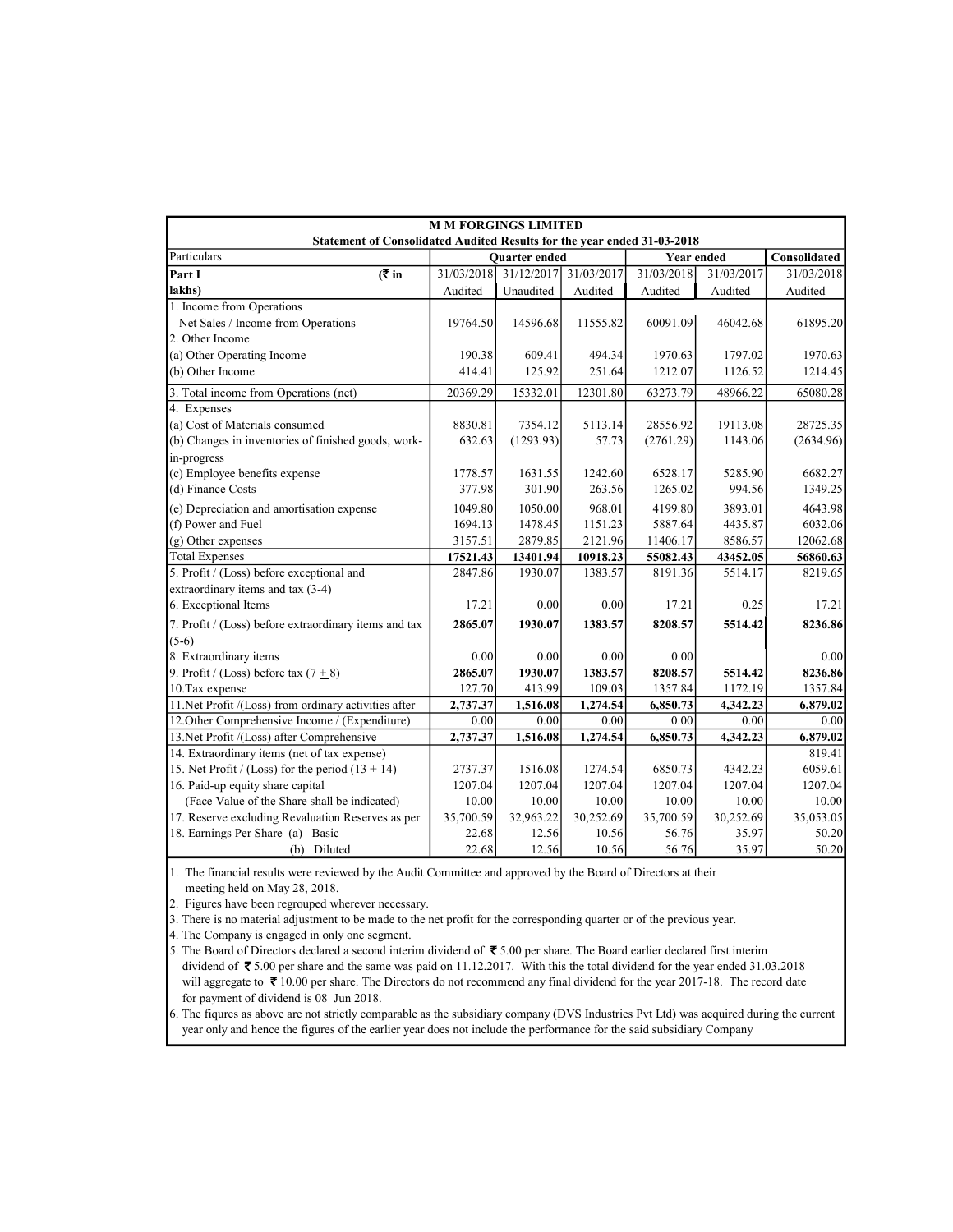| <b>M M FORGINGS LIMITED</b>                                                    |            |                      |                       |                   |            |              |  |  |
|--------------------------------------------------------------------------------|------------|----------------------|-----------------------|-------------------|------------|--------------|--|--|
| <b>Statement of Consolidated Audited Results for the year ended 31-03-2018</b> |            |                      |                       |                   |            |              |  |  |
| Particulars                                                                    |            | <b>Ouarter</b> ended |                       | <b>Year ended</b> |            | Consolidated |  |  |
| Part I<br>(₹ in                                                                | 31/03/2018 |                      | 31/12/2017 31/03/2017 | 31/03/2018        | 31/03/2017 | 31/03/2018   |  |  |
| lakhs)                                                                         | Audited    | Unaudited            | Audited               | Audited           | Audited    | Audited      |  |  |
| 1. Income from Operations                                                      |            |                      |                       |                   |            |              |  |  |
| Net Sales / Income from Operations                                             | 19764.50   | 14596.68             | 11555.82              | 60091.09          | 46042.68   | 61895.20     |  |  |
| 2. Other Income                                                                |            |                      |                       |                   |            |              |  |  |
| (a) Other Operating Income                                                     | 190.38     | 609.41               | 494.34                | 1970.63           | 1797.02    | 1970.63      |  |  |
| (b) Other Income                                                               | 414.41     | 125.92               | 251.64                | 1212.07           | 1126.52    | 1214.45      |  |  |
| 3. Total income from Operations (net)                                          | 20369.29   | 15332.01             | 12301.80              | 63273.79          | 48966.22   | 65080.28     |  |  |
| 4. Expenses                                                                    |            |                      |                       |                   |            |              |  |  |
| (a) Cost of Materials consumed                                                 | 8830.81    | 7354.12              | 5113.14               | 28556.92          | 19113.08   | 28725.35     |  |  |
| (b) Changes in inventories of finished goods, work-                            | 632.63     | (1293.93)            | 57.73                 | (2761.29)         | 1143.06    | (2634.96)    |  |  |
| in-progress                                                                    |            |                      |                       |                   |            |              |  |  |
| (c) Employee benefits expense                                                  | 1778.57    | 1631.55              | 1242.60               | 6528.17           | 5285.90    | 6682.27      |  |  |
| (d) Finance Costs                                                              | 377.98     | 301.90               | 263.56                | 1265.02           | 994.56     | 1349.25      |  |  |
| (e) Depreciation and amortisation expense                                      | 1049.80    | 1050.00              | 968.01                | 4199.80           | 3893.01    | 4643.98      |  |  |
| (f) Power and Fuel                                                             | 1694.13    | 1478.45              | 1151.23               | 5887.64           | 4435.87    | 6032.06      |  |  |
| (g) Other expenses                                                             | 3157.51    | 2879.85              | 2121.96               | 11406.17          | 8586.57    | 12062.68     |  |  |
| <b>Total Expenses</b>                                                          | 17521.43   | 13401.94             | 10918.23              | 55082.43          | 43452.05   | 56860.63     |  |  |
| 5. Profit / (Loss) before exceptional and                                      | 2847.86    | 1930.07              | 1383.57               | 8191.36           | 5514.17    | 8219.65      |  |  |
| extraordinary items and tax (3-4)                                              |            |                      |                       |                   |            |              |  |  |
| 6. Exceptional Items                                                           | 17.21      | 0.00                 | 0.00                  | 17.21             | 0.25       | 17.21        |  |  |
| 7. Profit / (Loss) before extraordinary items and tax                          | 2865.07    | 1930.07              | 1383.57               | 8208.57           | 5514.42    | 8236.86      |  |  |
| $(5-6)$                                                                        |            |                      |                       |                   |            |              |  |  |
| 8. Extraordinary items                                                         | 0.00       | 0.00                 | 0.00                  | 0.00              |            | 0.00         |  |  |
| 9. Profit / (Loss) before tax $(7 + 8)$                                        | 2865.07    | 1930.07              | 1383.57               | 8208.57           | 5514.42    | 8236.86      |  |  |
| 10. Tax expense                                                                | 127.70     | 413.99               | 109.03                | 1357.84           | 1172.19    | 1357.84      |  |  |
| 11. Net Profit /(Loss) from ordinary activities after                          | 2,737.37   | 1,516.08             | 1,274.54              | 6,850.73          | 4,342.23   | 6,879.02     |  |  |
| 12. Other Comprehensive Income / (Expenditure)                                 | 0.00       | 0.00                 | 0.00                  | 0.00              | 0.00       | 0.00         |  |  |
| 13. Net Profit /(Loss) after Comprehensive                                     | 2,737.37   | 1,516.08             | 1,274.54              | 6,850.73          | 4,342.23   | 6,879.02     |  |  |
| 14. Extraordinary items (net of tax expense)                                   |            |                      |                       |                   |            | 819.41       |  |  |
| 15. Net Profit / (Loss) for the period $(13 \pm 14)$                           | 2737.37    | 1516.08              | 1274.54               | 6850.73           | 4342.23    | 6059.61      |  |  |
| 16. Paid-up equity share capital                                               | 1207.04    | 1207.04              | 1207.04               | 1207.04           | 1207.04    | 1207.04      |  |  |
| (Face Value of the Share shall be indicated)                                   | 10.00      | 10.00                | 10.00                 | 10.00             | 10.00      | 10.00        |  |  |
| 17. Reserve excluding Revaluation Reserves as per                              | 35,700.59  | 32,963.22            | 30,252.69             | 35,700.59         | 30,252.69  | 35,053.05    |  |  |
| 18. Earnings Per Share (a) Basic                                               | 22.68      | 12.56                | 10.56                 | 56.76             | 35.97      | 50.20        |  |  |
| (b) Diluted                                                                    | 22.68      | 12.56                | 10.56                 | 56.76             | 35.97      | 50.20        |  |  |

1. The financial results were reviewed by the Audit Committee and approved by the Board of Directors at their meeting held on May 28, 2018.

meeting held on May  $28$ ,  $2018$ .<br>2. Figures have been regrouped wherever necessary.

3. There is no material adjustment to be made to the net profit for the corresponding quarter or of the previous year.

4. The Company is engaged in only one segment.

5. The Board of Directors declared a second interim dividend of  $\bar{\bar{\tau}}$  5.00 per share. The Board earlier declared first interim dividend of 5.00 per share and the same was paid on 11.12.2017. With this the total dividend for the year ended 31.03.2018 will aggregate to  $\bar{\mathfrak{X}}$  10.00 per share. The Directors do not recommend any final dividend for the year 2017-18. The record date for payment of dividend is 08 Jun 2018.

6. The fiqures as above are not strictly comparable as the subsidiary company (DVS Industries Pvt Ltd) was acquired during the current year only and hence the figures of the earlier year does not include the performance for the said subsidiary Company